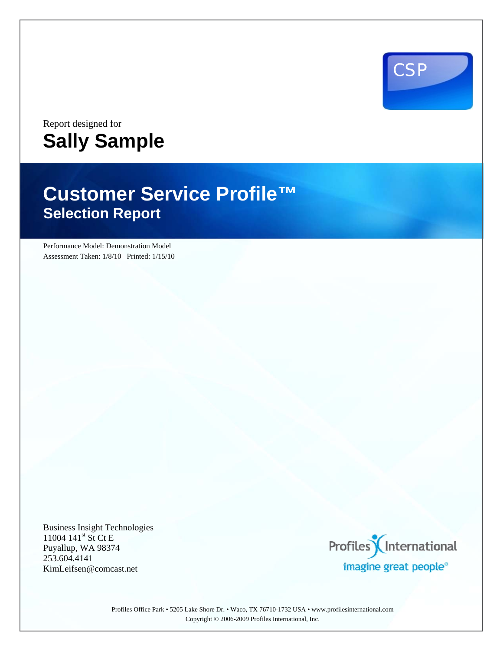

## Report designed for **Sally Sample**

# **Customer Service Profile™ Selection Report**

Performance Model: Demonstration Model Assessment Taken: 1/8/10 Printed: 1/15/10

Business Insight Technologies 11004 141<sup>st</sup> St Ct E Puyallup, WA 98374 253.604.4141 KimLeifsen@comcast.net



Profiles Office Park • 5205 Lake Shore Dr. • Waco, TX 76710-1732 USA • www.profilesinternational.com Copyright © 2006-2009 Profiles International, Inc.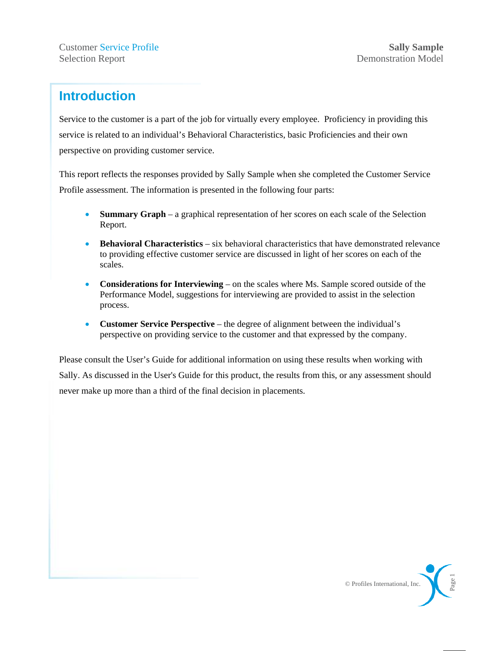### **Introduction**

Service to the customer is a part of the job for virtually every employee. Proficiency in providing this service is related to an individual's Behavioral Characteristics, basic Proficiencies and their own perspective on providing customer service.

This report reflects the responses provided by Sally Sample when she completed the Customer Service Profile assessment. The information is presented in the following four parts:

- **Summary Graph** a graphical representation of her scores on each scale of the Selection Report.
- **Behavioral Characteristics** six behavioral characteristics that have demonstrated relevance to providing effective customer service are discussed in light of her scores on each of the scales.
- **Considerations for Interviewing** on the scales where Ms. Sample scored outside of the Performance Model, suggestions for interviewing are provided to assist in the selection process.
- **Customer Service Perspective** the degree of alignment between the individual's perspective on providing service to the customer and that expressed by the company.

Please consult the User's Guide for additional information on using these results when working with Sally. As discussed in the User's Guide for this product, the results from this, or any assessment should never make up more than a third of the final decision in placements.

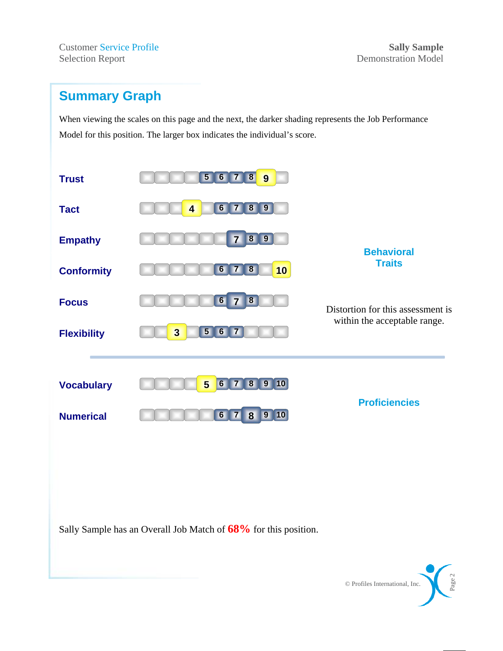**Customer Service Profile Sally Sample** Selection Report Demonstration Model

### **Summary Graph**

When viewing the scales on this page and the next, the darker shading represents the Job Performance Model for this position. The larger box indicates the individual's score.



Sally Sample has an Overall Job Match of **68%** for this position.

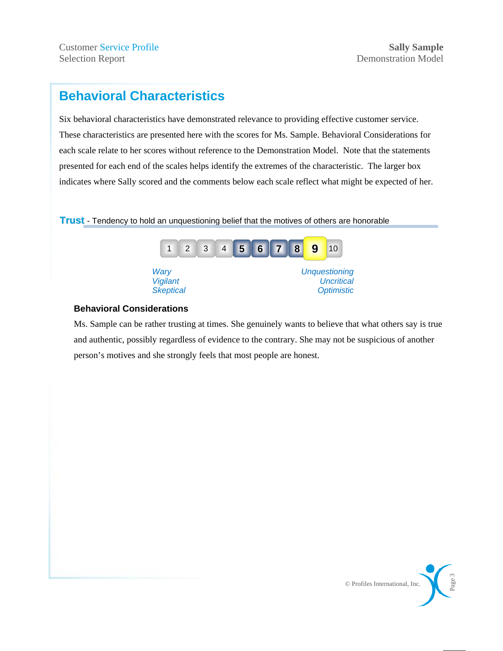**Customer Service Profile Sally Sample** Selection Report Demonstration Model

### **Behavioral Characteristics**

Six behavioral characteristics have demonstrated relevance to providing effective customer service. These characteristics are presented here with the scores for Ms. Sample. Behavioral Considerations for each scale relate to her scores without reference to the Demonstration Model. Note that the statements presented for each end of the scales helps identify the extremes of the characteristic. The larger box indicates where Sally scored and the comments below each scale reflect what might be expected of her.

**Trust** - Tendency to hold an unquestioning belief that the motives of others are honorable



#### **Behavioral Considerations**

Ms. Sample can be rather trusting at times. She genuinely wants to believe that what others say is true and authentic, possibly regardless of evidence to the contrary. She may not be suspicious of another person's motives and she strongly feels that most people are honest.

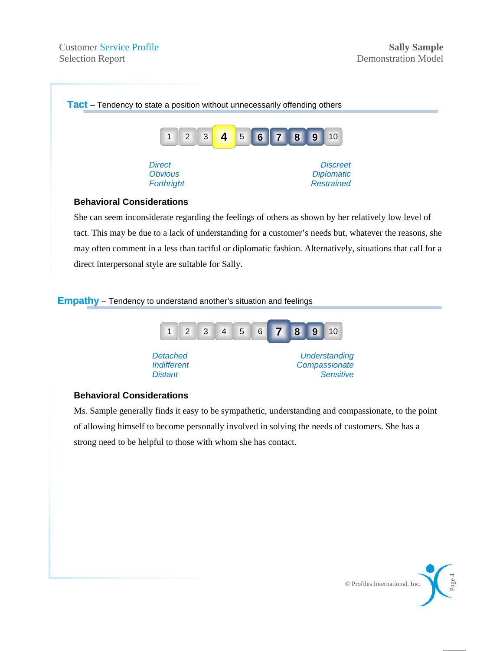

#### **Behavioral Considerations**

She can seem inconsiderate regarding the feelings of others as shown by her relatively low level of tact. This may be due to a lack of understanding for a customer's needs but, whatever the reasons, she may often comment in a less than tactful or diplomatic fashion. Alternatively, situations that call for a direct interpersonal style are suitable for Sally.

#### **Empathy** – Tendency to understand another's situation and feelings



#### **Behavioral Considerations**

Ms. Sample generally finds it easy to be sympathetic, understanding and compassionate, to the point of allowing himself to become personally involved in solving the needs of customers. She has a strong need to be helpful to those with whom she has contact.

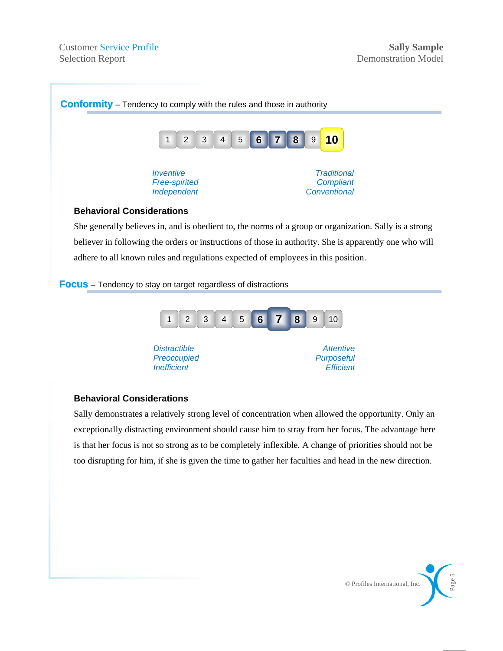

believer in following the orders or instructions of those in authority. She is apparently one who will adhere to all known rules and regulations expected of employees in this position.

**Focus** – Tendency to stay on target regardless of distractions



#### **Behavioral Considerations**

Sally demonstrates a relatively strong level of concentration when allowed the opportunity. Only an exceptionally distracting environment should cause him to stray from her focus. The advantage here is that her focus is not so strong as to be completely inflexible. A change of priorities should not be too disrupting for him, if she is given the time to gather her faculties and head in the new direction.

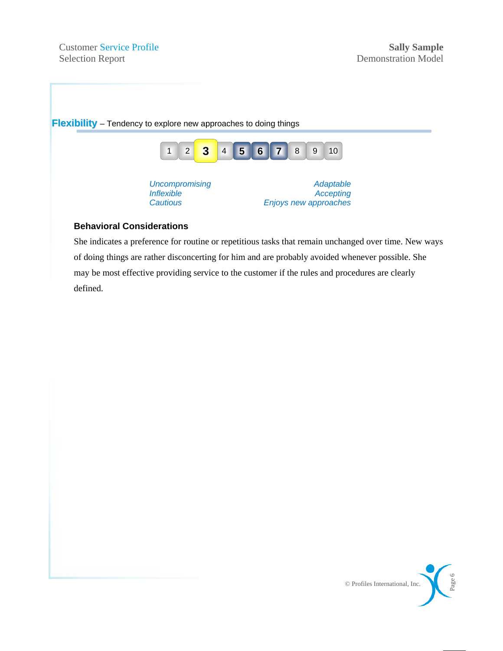

#### **Behavioral Considerations**

She indicates a preference for routine or repetitious tasks that remain unchanged over time. New ways of doing things are rather disconcerting for him and are probably avoided whenever possible. She may be most effective providing service to the customer if the rules and procedures are clearly defined.

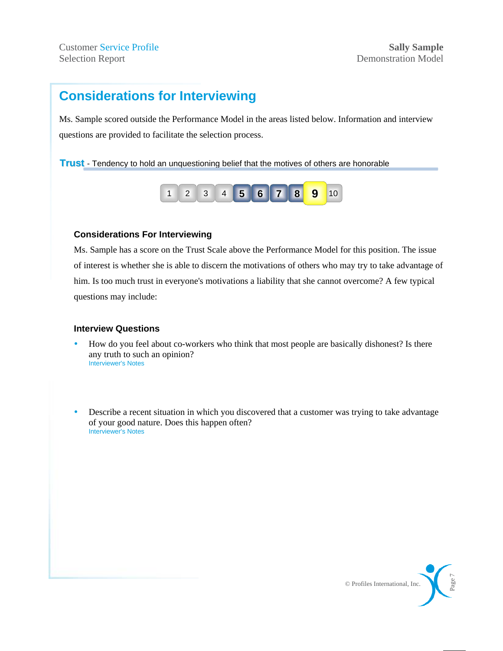### **Considerations for Interviewing**

Ms. Sample scored outside the Performance Model in the areas listed below. Information and interview questions are provided to facilitate the selection process.

#### **Trust** - Tendency to hold an unquestioning belief that the motives of others are honorable



#### **Considerations For Interviewing**

Ms. Sample has a score on the Trust Scale above the Performance Model for this position. The issue of interest is whether she is able to discern the motivations of others who may try to take advantage of him. Is too much trust in everyone's motivations a liability that she cannot overcome? A few typical questions may include:

- y How do you feel about co-workers who think that most people are basically dishonest? Is there any truth to such an opinion? Interviewer's Notes
- Describe a recent situation in which you discovered that a customer was trying to take advantage of your good nature. Does this happen often? Interviewer's Notes

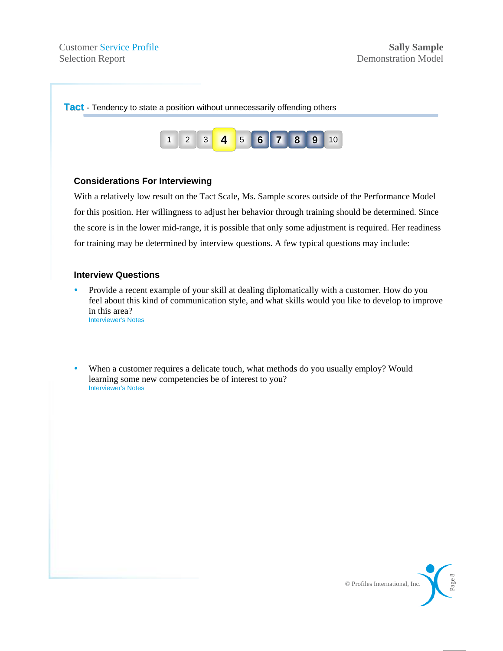

### **Considerations For Interviewing**

With a relatively low result on the Tact Scale, Ms. Sample scores outside of the Performance Model for this position. Her willingness to adjust her behavior through training should be determined. Since the score is in the lower mid-range, it is possible that only some adjustment is required. Her readiness for training may be determined by interview questions. A few typical questions may include:

- Provide a recent example of your skill at dealing diplomatically with a customer. How do you feel about this kind of communication style, and what skills would you like to develop to improve in this area? Interviewer's Notes
- When a customer requires a delicate touch, what methods do you usually employ? Would learning some new competencies be of interest to you? Interviewer's Notes

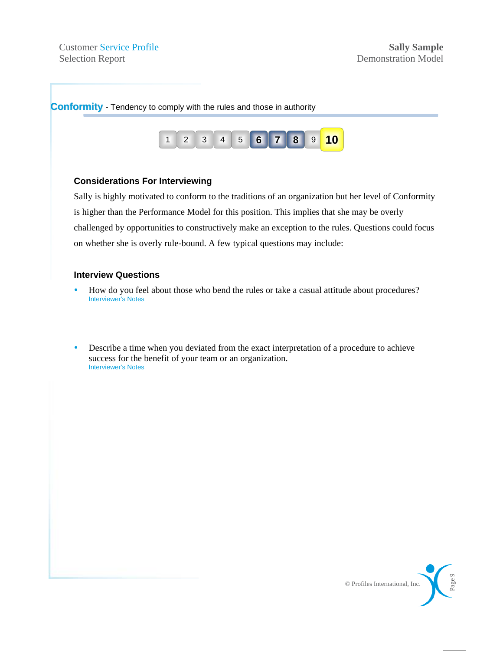

Sally is highly motivated to conform to the traditions of an organization but her level of Conformity is higher than the Performance Model for this position. This implies that she may be overly challenged by opportunities to constructively make an exception to the rules. Questions could focus on whether she is overly rule-bound. A few typical questions may include:

- How do you feel about those who bend the rules or take a casual attitude about procedures? Interviewer's Notes
- Describe a time when you deviated from the exact interpretation of a procedure to achieve success for the benefit of your team or an organization. Interviewer's Notes

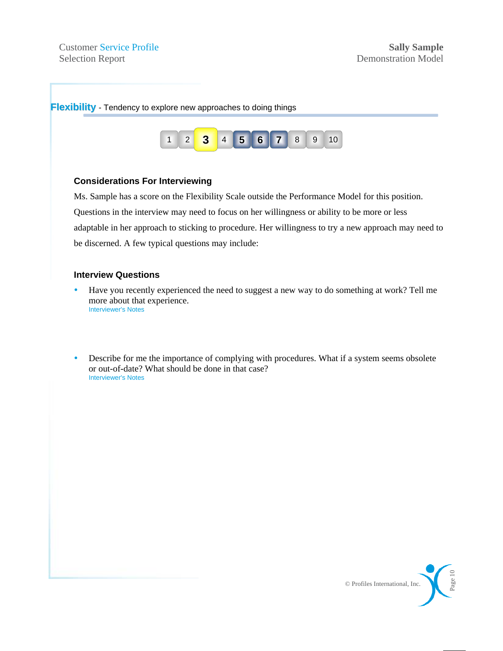

### **Considerations For Interviewing**

Ms. Sample has a score on the Flexibility Scale outside the Performance Model for this position. Questions in the interview may need to focus on her willingness or ability to be more or less adaptable in her approach to sticking to procedure. Her willingness to try a new approach may need to be discerned. A few typical questions may include:

- y Have you recently experienced the need to suggest a new way to do something at work? Tell me more about that experience. Interviewer's Notes
- Describe for me the importance of complying with procedures. What if a system seems obsolete or out-of-date? What should be done in that case? Interviewer's Notes

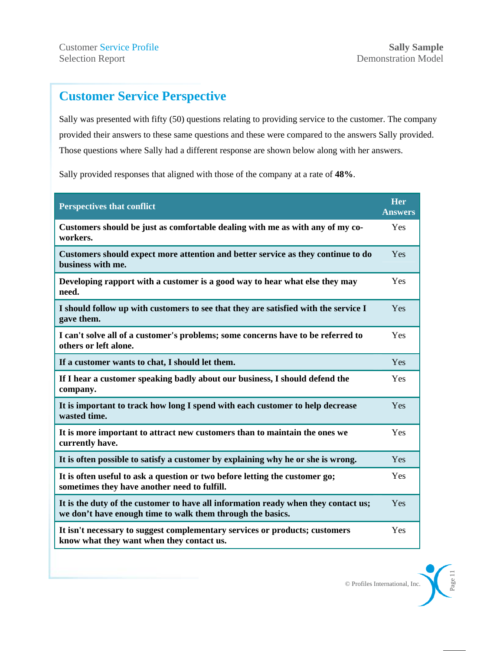### **Customer Service Perspective**

Sally was presented with fifty (50) questions relating to providing service to the customer. The company provided their answers to these same questions and these were compared to the answers Sally provided. Those questions where Sally had a different response are shown below along with her answers.

Sally provided responses that aligned with those of the company at a rate of **48%**.

| <b>Perspectives that conflict</b>                                                                                                                | <b>Her</b><br><b>Answers</b> |
|--------------------------------------------------------------------------------------------------------------------------------------------------|------------------------------|
| Customers should be just as comfortable dealing with me as with any of my co-<br>workers.                                                        | Yes                          |
| Customers should expect more attention and better service as they continue to do<br>business with me.                                            | Yes                          |
| Developing rapport with a customer is a good way to hear what else they may<br>need.                                                             | Yes                          |
| I should follow up with customers to see that they are satisfied with the service I<br>gave them.                                                | Yes                          |
| I can't solve all of a customer's problems; some concerns have to be referred to<br>others or left alone.                                        | Yes                          |
| If a customer wants to chat, I should let them.                                                                                                  | Yes                          |
| If I hear a customer speaking badly about our business, I should defend the<br>company.                                                          | Yes                          |
| It is important to track how long I spend with each customer to help decrease<br>wasted time.                                                    | Yes                          |
| It is more important to attract new customers than to maintain the ones we<br>currently have.                                                    | Yes                          |
| It is often possible to satisfy a customer by explaining why he or she is wrong.                                                                 | Yes                          |
| It is often useful to ask a question or two before letting the customer go;<br>sometimes they have another need to fulfill.                      | Yes                          |
| It is the duty of the customer to have all information ready when they contact us;<br>we don't have enough time to walk them through the basics. | Yes                          |
| It isn't necessary to suggest complementary services or products; customers<br>know what they want when they contact us.                         | Yes                          |